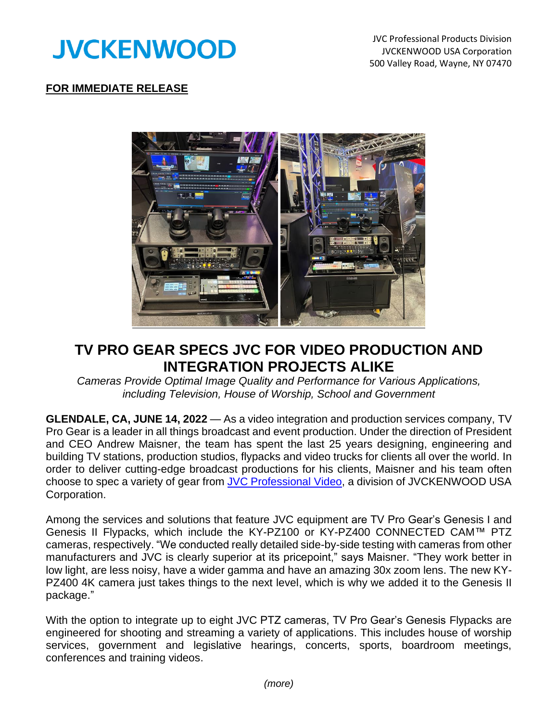

JVC Professional Products Division JVCKENWOOD USA Corporation 500 Valley Road, Wayne, NY 07470

## **FOR IMMEDIATE RELEASE**



## **TV PRO GEAR SPECS JVC FOR VIDEO PRODUCTION AND INTEGRATION PROJECTS ALIKE**

*Cameras Provide Optimal Image Quality and Performance for Various Applications, including Television, House of Worship, School and Government*

**GLENDALE, CA, JUNE 14, 2022** — As a video integration and production services company, TV Pro Gear is a leader in all things broadcast and event production. Under the direction of President and CEO Andrew Maisner, the team has spent the last 25 years designing, engineering and building TV stations, production studios, flypacks and video trucks for clients all over the world. In order to deliver cutting-edge broadcast productions for his clients, Maisner and his team often choose to spec a variety of gear from [JVC Professional](http://pro.jvc.com/prof/main.jsp) Video, a division of JVCKENWOOD USA Corporation.

Among the services and solutions that feature JVC equipment are TV Pro Gear's Genesis I and Genesis II Flypacks, which include the KY-PZ100 or KY-PZ400 CONNECTED CAM™ PTZ cameras, respectively. "We conducted really detailed side-by-side testing with cameras from other manufacturers and JVC is clearly superior at its pricepoint," says Maisner. "They work better in low light, are less noisy, have a wider gamma and have an amazing 30x zoom lens. The new KY-PZ400 4K camera just takes things to the next level, which is why we added it to the Genesis II package."

With the option to integrate up to eight JVC PTZ cameras, TV Pro Gear's Genesis Flypacks are engineered for shooting and streaming a variety of applications. This includes house of worship services, government and legislative hearings, concerts, sports, boardroom meetings, conferences and training videos.